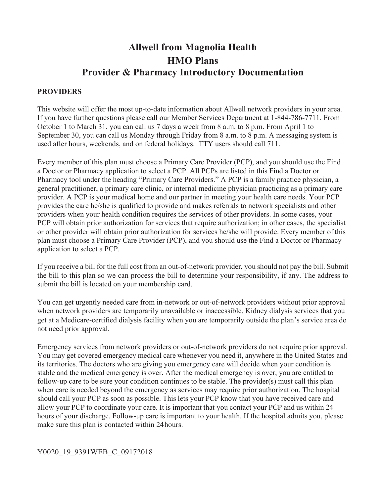# **Allwell from Magnolia Health HMO Plans Provider & Pharmacy Introductory Documentation**

#### **PROVIDERS**

 October 1 to March 31, you can call us 7 days a week from 8 a.m. to 8 p.m. From April 1 to September 30, you can call us Monday through Friday from 8 a.m. to 8 p.m. A messaging system is This website will offer the most up-to-date information about Allwell network providers in your area. If you have further questions please call our Member Services Department at 1-844-786-7711. From used after hours, weekends, and on federal holidays. TTY users should call 711.

 plan must choose a Primary Care Provider (PCP), and you should use the Find a Doctor or Pharmacy Every member of this plan must choose a Primary Care Provider (PCP), and you should use the Find a Doctor or Pharmacy application to select a PCP. All PCPs are listed in this Find a Doctor or Pharmacy tool under the heading "Primary Care Providers." A PCP is a family practice physician, a general practitioner, a primary care clinic, or internal medicine physician practicing as a primary care provider. A PCP is your medical home and our partner in meeting your health care needs. Your PCP provides the care he/she is qualified to provide and makes referrals to network specialists and other providers when your health condition requires the services of other providers. In some cases, your PCP will obtain prior authorization for services that require authorization; in other cases, the specialist or other provider will obtain prior authorization for services he/she will provide. Every member of this application to select a PCP.

 the bill to this plan so we can process the bill to determine your responsibility, if any. The address to If you receive a bill for the full cost from an out-of-network provider, you should not pay the bill. Submit submit the bill is located on your membership card.

 get at a Medicare-certified dialysis facility when you are temporarily outside the plan's service area do You can get urgently needed care from in-network or out-of-network providers without prior approval when network providers are temporarily unavailable or inaccessible. Kidney dialysis services that you not need prior approval.

 make sure this plan is contacted within 24hours. Emergency services from network providers or out-of-network providers do not require prior approval. You may get covered emergency medical care whenever you need it, anywhere in the United States and its territories. The doctors who are giving you emergency care will decide when your condition is stable and the medical emergency is over. After the medical emergency is over, you are entitled to follow-up care to be sure your condition continues to be stable. The provider(s) must call this plan when care is needed beyond the emergency as services may require prior authorization. The hospital should call your PCP as soon as possible. This lets your PCP know that you have received care and allow your PCP to coordinate your care. It is important that you contact your PCP and us within 24 hours of your discharge. Follow-up care is important to your health. If the hospital admits you, please

#### Y0020\_19\_9391WEB\_C\_09172018